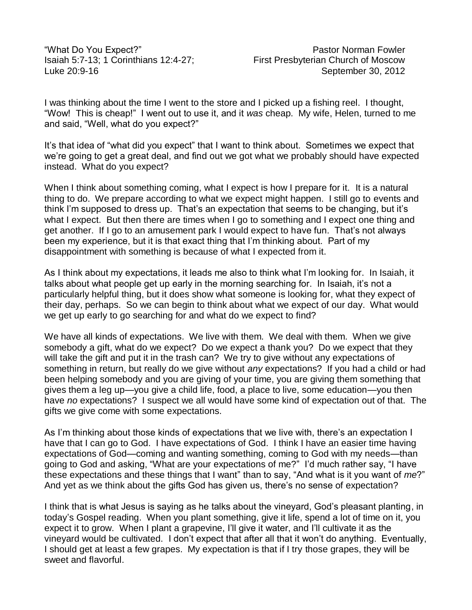I was thinking about the time I went to the store and I picked up a fishing reel. I thought, "Wow! This is cheap!" I went out to use it, and it *was* cheap. My wife, Helen, turned to me and said, "Well, what do you expect?"

It's that idea of "what did you expect" that I want to think about. Sometimes we expect that we're going to get a great deal, and find out we got what we probably should have expected instead. What do you expect?

When I think about something coming, what I expect is how I prepare for it. It is a natural thing to do. We prepare according to what we expect might happen. I still go to events and think I'm supposed to dress up. That's an expectation that seems to be changing, but it's what I expect. But then there are times when I go to something and I expect one thing and get another. If I go to an amusement park I would expect to have fun. That's not always been my experience, but it is that exact thing that I'm thinking about. Part of my disappointment with something is because of what I expected from it.

As I think about my expectations, it leads me also to think what I'm looking for. In Isaiah, it talks about what people get up early in the morning searching for. In Isaiah, it's not a particularly helpful thing, but it does show what someone is looking for, what they expect of their day, perhaps. So we can begin to think about what we expect of our day. What would we get up early to go searching for and what do we expect to find?

We have all kinds of expectations. We live with them. We deal with them. When we give somebody a gift, what do we expect? Do we expect a thank you? Do we expect that they will take the gift and put it in the trash can? We try to give without any expectations of something in return, but really do we give without *any* expectations? If you had a child or had been helping somebody and you are giving of your time, you are giving them something that gives them a leg up—you give a child life, food, a place to live, some education—you then have *no* expectations? I suspect we all would have some kind of expectation out of that. The gifts we give come with some expectations.

As I'm thinking about those kinds of expectations that we live with, there's an expectation I have that I can go to God. I have expectations of God. I think I have an easier time having expectations of God—coming and wanting something, coming to God with my needs—than going to God and asking, "What are your expectations of me?" I'd much rather say, "I have these expectations and these things that I want" than to say, "And what is it you want of *me*?" And yet as we think about the gifts God has given us, there's no sense of expectation?

I think that is what Jesus is saying as he talks about the vineyard, God's pleasant planting, in today's Gospel reading. When you plant something, give it life, spend a lot of time on it, you expect it to grow. When I plant a grapevine, I'll give it water, and I'll cultivate it as the vineyard would be cultivated. I don't expect that after all that it won't do anything. Eventually, I should get at least a few grapes. My expectation is that if I try those grapes, they will be sweet and flavorful.